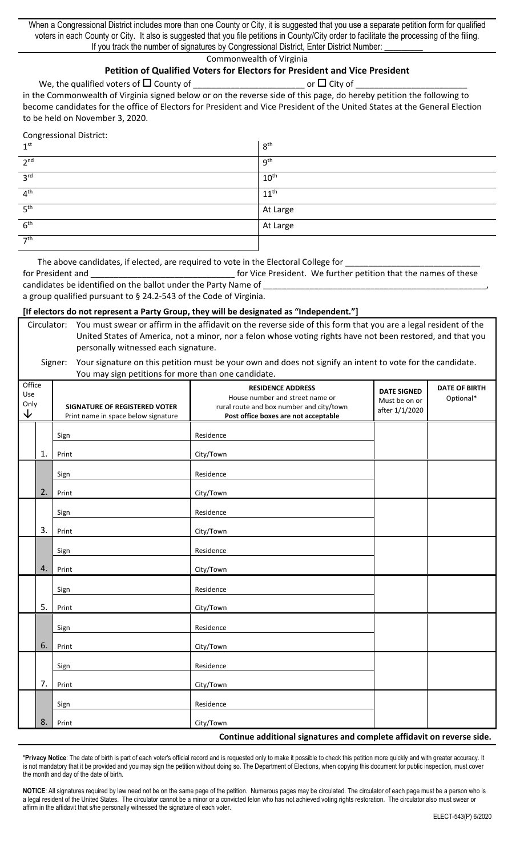When a Congressional District includes more than one County or City, it is suggested that you use a separate petition form for qualified voters in each County or City. It also is suggested that you file petitions in County/City order to facilitate the processing of the filing. If you track the number of signatures by Congressional District, Enter District Number:

### Commonwealth of Virginia

#### **Petition of Qualified Voters for Electors for President and Vice President**

We, the qualified voters of County of \_\_\_\_\_\_\_\_\_\_\_\_\_\_\_\_\_\_\_\_\_\_\_\_ or City of \_\_\_\_\_\_\_\_\_\_\_\_\_\_\_\_\_\_\_\_\_\_\_\_

in the Commonwealth of Virginia signed below or on the reverse side of this page, do hereby petition the following to become candidates for the office of Electors for President and Vice President of the United States at the General Election to be held on November 3, 2020.

Congressional District:

| 1 <sup>st</sup> | 8 <sup>th</sup>  |
|-----------------|------------------|
| 2 <sup>nd</sup> | 9 <sup>th</sup>  |
| 3 <sup>rd</sup> | $10^{\text{th}}$ |
| 4 <sup>th</sup> | $11^{th}$        |
| 5 <sup>th</sup> | At Large         |
| 6 <sup>th</sup> | At Large         |
| 7 <sup>th</sup> |                  |

The above candidates, if elected, are required to vote in the Electoral College for

for President and \_\_\_\_\_\_\_\_\_\_\_\_\_\_\_\_\_\_\_\_\_\_\_\_\_\_\_\_\_\_\_ for Vice President. We further petition that the names of these candidates be identified on the ballot under the Party Name of

a group qualified pursuant to § 24.2-543 of the Code of Virginia.

## **[If electors do not represent a Party Group, they will be designated as "Independent."]**

Circulator: You must swear or affirm in the affidavit on the reverse side of this form that you are a legal resident of the United States of America, not a minor, nor a felon whose voting rights have not been restored, and that you personally witnessed each signature.

#### Signer: Your signature on this petition must be your own and does not signify an intent to vote for the candidate. You may sign petitions for more than one candidate.

| Office<br>Use<br>Only<br>$\downarrow$ |                                                                        | <b>SIGNATURE OF REGISTERED VOTER</b><br>Print name in space below signature | <b>RESIDENCE ADDRESS</b><br>House number and street name or<br>rural route and box number and city/town<br>Post office boxes are not acceptable | <b>DATE SIGNED</b><br>Must be on or<br>after 1/1/2020 | <b>DATE OF BIRTH</b><br>Optional* |  |  |
|---------------------------------------|------------------------------------------------------------------------|-----------------------------------------------------------------------------|-------------------------------------------------------------------------------------------------------------------------------------------------|-------------------------------------------------------|-----------------------------------|--|--|
|                                       |                                                                        | Sign                                                                        | Residence                                                                                                                                       |                                                       |                                   |  |  |
|                                       | 1.                                                                     | Print                                                                       | City/Town                                                                                                                                       |                                                       |                                   |  |  |
|                                       |                                                                        | Sign                                                                        | Residence                                                                                                                                       |                                                       |                                   |  |  |
|                                       | 2.                                                                     | Print                                                                       | City/Town                                                                                                                                       |                                                       |                                   |  |  |
|                                       |                                                                        | Sign                                                                        | Residence                                                                                                                                       |                                                       |                                   |  |  |
|                                       | 3.                                                                     | Print                                                                       | City/Town                                                                                                                                       |                                                       |                                   |  |  |
|                                       |                                                                        | Sign                                                                        | Residence                                                                                                                                       |                                                       |                                   |  |  |
|                                       | 4.                                                                     | Print                                                                       | City/Town                                                                                                                                       |                                                       |                                   |  |  |
|                                       |                                                                        | Sign                                                                        | Residence                                                                                                                                       |                                                       |                                   |  |  |
|                                       | 5.                                                                     | Print                                                                       | City/Town                                                                                                                                       |                                                       |                                   |  |  |
|                                       |                                                                        | Sign                                                                        | Residence                                                                                                                                       |                                                       |                                   |  |  |
|                                       | 6.                                                                     | Print                                                                       | City/Town                                                                                                                                       |                                                       |                                   |  |  |
|                                       |                                                                        | Sign                                                                        | Residence                                                                                                                                       |                                                       |                                   |  |  |
|                                       | 7.                                                                     | Print                                                                       | City/Town                                                                                                                                       |                                                       |                                   |  |  |
|                                       |                                                                        | Sign                                                                        | Residence                                                                                                                                       |                                                       |                                   |  |  |
|                                       | 8.                                                                     | Print                                                                       | City/Town                                                                                                                                       |                                                       |                                   |  |  |
|                                       | Continue additional signatures and complete affidavit on reverse side. |                                                                             |                                                                                                                                                 |                                                       |                                   |  |  |

**\*Privacy Notice**: The date of birth is part of each voter's official record and is requested only to make it possible to check this petition more quickly and with greater accuracy. It is not mandatory that it be provided and you may sign the petition without doing so. The Department of Elections, when copying this document for public inspection, must cover the month and day of the date of birth.

NOTICE: All signatures required by law need not be on the same page of the petition. Numerous pages may be circulated. The circulator of each page must be a person who is a legal resident of the United States. The circulator cannot be a minor or a convicted felon who has not achieved voting rights restoration. The circulator also must swear or affirm in the affidavit that s/he personally witnessed the signature of each voter.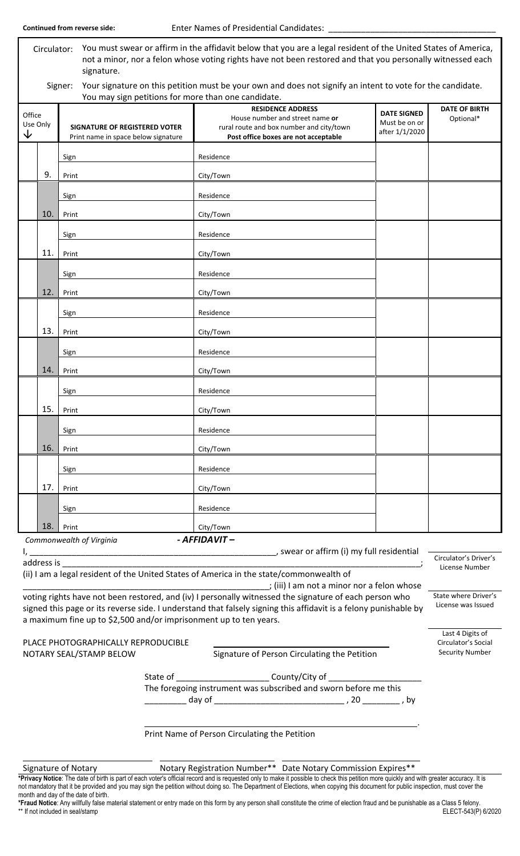| You must swear or affirm in the affidavit below that you are a legal resident of the United States of America,<br>Circulator:<br>not a minor, nor a felon whose voting rights have not been restored and that you personally witnessed each<br>signature. |                                                                                                                  |                                                                                                                                                 |                                                       |                                         |  |  |  |
|-----------------------------------------------------------------------------------------------------------------------------------------------------------------------------------------------------------------------------------------------------------|------------------------------------------------------------------------------------------------------------------|-------------------------------------------------------------------------------------------------------------------------------------------------|-------------------------------------------------------|-----------------------------------------|--|--|--|
| Signer:<br>Your signature on this petition must be your own and does not signify an intent to vote for the candidate.<br>You may sign petitions for more than one candidate.                                                                              |                                                                                                                  |                                                                                                                                                 |                                                       |                                         |  |  |  |
| Office<br>Use Only<br>↓                                                                                                                                                                                                                                   | <b>SIGNATURE OF REGISTERED VOTER</b><br>Print name in space below signature                                      | <b>RESIDENCE ADDRESS</b><br>House number and street name or<br>rural route and box number and city/town<br>Post office boxes are not acceptable | <b>DATE SIGNED</b><br>Must be on or<br>after 1/1/2020 | <b>DATE OF BIRTH</b><br>Optional*       |  |  |  |
|                                                                                                                                                                                                                                                           | Sign                                                                                                             | Residence                                                                                                                                       |                                                       |                                         |  |  |  |
| 9.                                                                                                                                                                                                                                                        | Print<br>Sign                                                                                                    | City/Town<br>Residence                                                                                                                          |                                                       |                                         |  |  |  |
| 10.                                                                                                                                                                                                                                                       | Print                                                                                                            | City/Town                                                                                                                                       |                                                       |                                         |  |  |  |
|                                                                                                                                                                                                                                                           | Sign                                                                                                             | Residence                                                                                                                                       |                                                       |                                         |  |  |  |
| 11.                                                                                                                                                                                                                                                       | Print                                                                                                            | City/Town                                                                                                                                       |                                                       |                                         |  |  |  |
|                                                                                                                                                                                                                                                           | Sign                                                                                                             | Residence                                                                                                                                       |                                                       |                                         |  |  |  |
| 12.                                                                                                                                                                                                                                                       | Print                                                                                                            | City/Town                                                                                                                                       |                                                       |                                         |  |  |  |
|                                                                                                                                                                                                                                                           | Sign                                                                                                             | Residence                                                                                                                                       |                                                       |                                         |  |  |  |
| 13.                                                                                                                                                                                                                                                       | Print                                                                                                            | City/Town                                                                                                                                       |                                                       |                                         |  |  |  |
|                                                                                                                                                                                                                                                           | Sign                                                                                                             | Residence                                                                                                                                       |                                                       |                                         |  |  |  |
| 14.                                                                                                                                                                                                                                                       | Print                                                                                                            | City/Town                                                                                                                                       |                                                       |                                         |  |  |  |
|                                                                                                                                                                                                                                                           | Sign                                                                                                             | Residence                                                                                                                                       |                                                       |                                         |  |  |  |
| 15.                                                                                                                                                                                                                                                       | Print                                                                                                            | City/Town                                                                                                                                       |                                                       |                                         |  |  |  |
|                                                                                                                                                                                                                                                           | Sign                                                                                                             | Residence                                                                                                                                       |                                                       |                                         |  |  |  |
| 16.                                                                                                                                                                                                                                                       | Print                                                                                                            | City/Town                                                                                                                                       |                                                       |                                         |  |  |  |
|                                                                                                                                                                                                                                                           | Sign                                                                                                             | Residence                                                                                                                                       |                                                       |                                         |  |  |  |
| 17.                                                                                                                                                                                                                                                       | Print                                                                                                            | City/Town                                                                                                                                       |                                                       |                                         |  |  |  |
|                                                                                                                                                                                                                                                           | Sign                                                                                                             | Residence                                                                                                                                       |                                                       |                                         |  |  |  |
| 18.                                                                                                                                                                                                                                                       | Print                                                                                                            | City/Town                                                                                                                                       |                                                       |                                         |  |  |  |
|                                                                                                                                                                                                                                                           | Commonwealth of Virginia                                                                                         | - AFFIDAVIT-<br>swear or affirm (i) my full residential                                                                                         |                                                       |                                         |  |  |  |
| address is                                                                                                                                                                                                                                                |                                                                                                                  |                                                                                                                                                 |                                                       | Circulator's Driver's<br>License Number |  |  |  |
|                                                                                                                                                                                                                                                           |                                                                                                                  | (ii) I am a legal resident of the United States of America in the state/commonwealth of<br>; (iii) I am not a minor nor a felon whose           |                                                       |                                         |  |  |  |
| voting rights have not been restored, and (iv) I personally witnessed the signature of each person who<br>a maximum fine up to \$2,500 and/or imprisonment up to ten years.                                                                               | signed this page or its reverse side. I understand that falsely signing this affidavit is a felony punishable by | State where Driver's<br>License was Issued                                                                                                      |                                                       |                                         |  |  |  |
| PLACE PHOTOGRAPHICALLY REPRODUCIBLE<br>NOTARY SEAL/STAMP BELOW                                                                                                                                                                                            |                                                                                                                  | Last 4 Digits of<br>Circulator's Social<br><b>Security Number</b>                                                                               |                                                       |                                         |  |  |  |

State of \_\_\_\_\_\_\_\_\_\_\_\_\_\_\_\_\_\_\_\_\_\_\_\_\_\_ County/City of \_\_\_\_\_\_\_\_\_\_\_\_\_\_\_\_\_\_\_\_\_\_\_\_\_\_\_\_\_ The foregoing instrument was subscribed and sworn before me this \_\_\_\_\_\_\_\_\_ day of \_\_\_\_\_\_\_\_\_\_\_\_\_\_\_\_\_\_\_\_\_\_\_\_\_\_\_\_ , 20 \_\_\_\_\_\_\_\_ , by

.

Print Name of Person Circulating the Petition

Signature of Notary **Notary Registration Number\*\*** Date Notary Commission Expires\*\*

**\*Privacy Notice**: The date of birth is part of each voter's official record and is requested only to make it possible to check this petition more quickly and with greater accuracy. It is not mandatory that it be provided and you may sign the petition without doing so. The Department of Elections, when copying this document for public inspection, must cover the month and day of the date of birth.

**\*Fraud Notice**: Any willfully false material statement or entry made on this form by any person shall constitute the crime of election fraud and be punishable as a Class 5 felony. \*\* If not included in seal/stamp ELECT-543(P) 6/2020